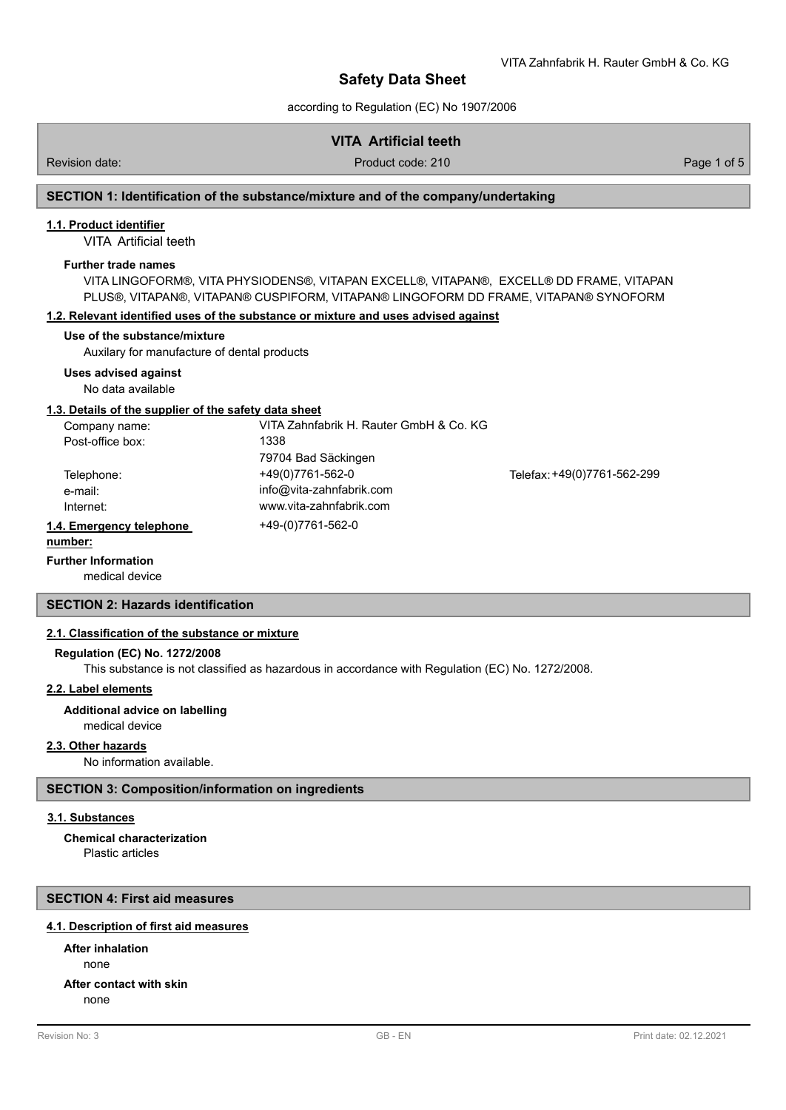according to Regulation (EC) No 1907/2006

# **VITA Artificial teeth**

Revision date: Product code: 210 Product code: 210 Page 1 of 5

# **SECTION 1: Identification of the substance/mixture and of the company/undertaking**

### **1.1. Product identifier**

VITA Artificial teeth

### **Further trade names**

VITA LINGOFORM®, VITA PHYSIODENS®, VITAPAN EXCELL®, VITAPAN®, EXCELL® DD FRAME, VITAPAN PLUS®, VITAPAN®, VITAPAN® CUSPIFORM, VITAPAN® LINGOFORM DD FRAME, VITAPAN® SYNOFORM

### **1.2. Relevant identified uses of the substance or mixture and uses advised against**

### **Use of the substance/mixture**

Auxilary for manufacture of dental products

### **Uses advised against**

No data available

### **1.3. Details of the supplier of the safety data sheet**

| Company name:            | VITA Zahnfabrik H. Rauter GmbH & Co. KG |                             |
|--------------------------|-----------------------------------------|-----------------------------|
| Post-office box:         | 1338                                    |                             |
|                          | 79704 Bad Säckingen                     |                             |
| Telephone:               | +49(0)7761-562-0                        | Telefax: +49(0)7761-562-299 |
| e-mail:                  | info@vita-zahnfabrik.com                |                             |
| Internet:                | www.vita-zahnfabrik.com                 |                             |
| 1.4. Emergency telephone | +49-(0)7761-562-0                       |                             |
|                          |                                         |                             |

# **number:**

### **Further Information**

medical device

### **SECTION 2: Hazards identification**

### **2.1. Classification of the substance or mixture**

### **Regulation (EC) No. 1272/2008**

This substance is not classified as hazardous in accordance with Regulation (EC) No. 1272/2008.

# **2.2. Label elements**

### **Additional advice on labelling**

medical device

### **2.3. Other hazards**

No information available.

### **SECTION 3: Composition/information on ingredients**

### **3.1. Substances**

Plastic articles **Chemical characterization**

### **SECTION 4: First aid measures**

### **4.1. Description of first aid measures**

none **After inhalation After contact with skin**

none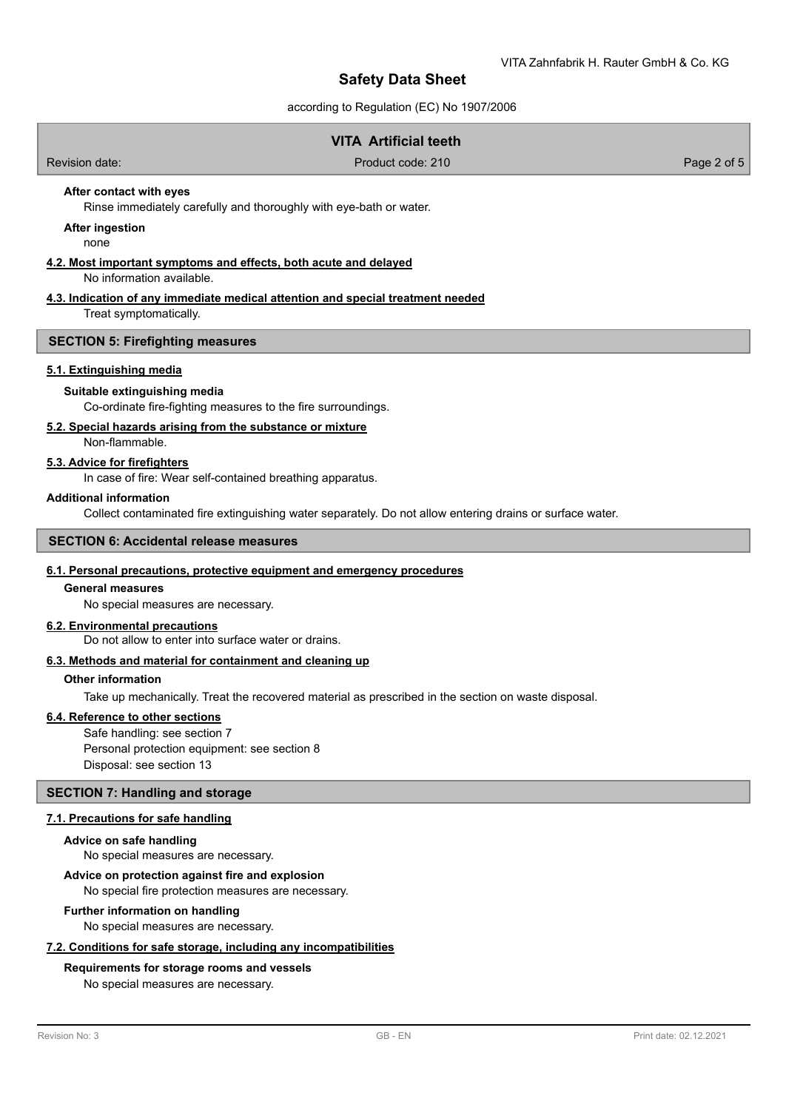according to Regulation (EC) No 1907/2006

| <b>VITA Artificial teeth</b>                                                                  |                                                                                 |             |  |  |
|-----------------------------------------------------------------------------------------------|---------------------------------------------------------------------------------|-------------|--|--|
| Revision date:                                                                                | Product code: 210                                                               | Page 2 of 5 |  |  |
| After contact with eyes                                                                       | Rinse immediately carefully and thoroughly with eye-bath or water.              |             |  |  |
| After ingestion<br>none                                                                       |                                                                                 |             |  |  |
| 4.2. Most important symptoms and effects, both acute and delayed<br>No information available. |                                                                                 |             |  |  |
| المطالح واللواحد ومستوا وتستحدث والمتحدد والمتحدد                                             | 4.3. Indication of any immediate medical attention and special treatment needed |             |  |  |

Treat symptomatically.

### **SECTION 5: Firefighting measures**

### **5.1. Extinguishing media**

#### **Suitable extinguishing media**

Co-ordinate fire-fighting measures to the fire surroundings.

### **5.2. Special hazards arising from the substance or mixture**

Non-flammable.

# **5.3. Advice for firefighters**

In case of fire: Wear self-contained breathing apparatus.

### **Additional information**

Collect contaminated fire extinguishing water separately. Do not allow entering drains or surface water.

# **SECTION 6: Accidental release measures**

### **6.1. Personal precautions, protective equipment and emergency procedures**

### **General measures**

No special measures are necessary.

### **6.2. Environmental precautions**

Do not allow to enter into surface water or drains.

# **6.3. Methods and material for containment and cleaning up**

### **Other information**

Take up mechanically. Treat the recovered material as prescribed in the section on waste disposal.

### **6.4. Reference to other sections**

Safe handling: see section 7 Personal protection equipment: see section 8 Disposal: see section 13

#### **SECTION 7: Handling and storage**

## **7.1. Precautions for safe handling**

#### **Advice on safe handling**

No special measures are necessary.

# **Advice on protection against fire and explosion**

No special fire protection measures are necessary.

#### **Further information on handling**

No special measures are necessary.

### **7.2. Conditions for safe storage, including any incompatibilities**

# **Requirements for storage rooms and vessels**

No special measures are necessary.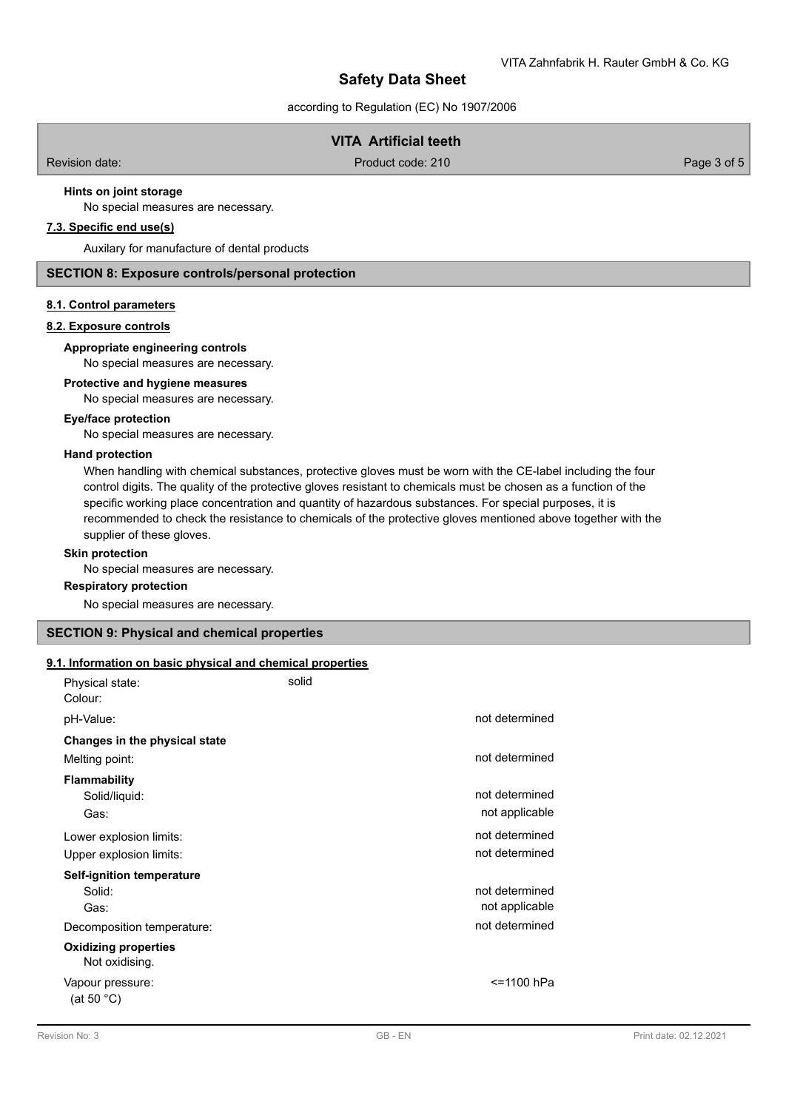according to Regulation (EC) No 1907/2006

# **VITA Artificial teeth**

Revision date: Product code: 210 Product code: 210 Page 3 of 5

# **Hints on joint storage**

No special measures are necessary.

# **7.3. Specific end use(s)**

Auxilary for manufacture of dental products

# **SECTION 8: Exposure controls/personal protection**

### **8.1. Control parameters**

### **8.2. Exposure controls**

### **Appropriate engineering controls**

No special measures are necessary.

### **Protective and hygiene measures**

No special measures are necessary.

### **Eye/face protection**

No special measures are necessary.

### **Hand protection**

When handling with chemical substances, protective gloves must be worn with the CE-label including the four control digits. The quality of the protective gloves resistant to chemicals must be chosen as a function of the specific working place concentration and quantity of hazardous substances. For special purposes, it is recommended to check the resistance to chemicals of the protective gloves mentioned above together with the supplier of these gloves.

### **Skin protection**

No special measures are necessary.

#### **Respiratory protection**

No special measures are necessary.

### **SECTION 9: Physical and chemical properties**

#### **9.1. Information on basic physical and chemical properties**

| Physical state:<br>Colour:                    | solid |                |
|-----------------------------------------------|-------|----------------|
| pH-Value:                                     |       | not determined |
| Changes in the physical state                 |       |                |
| Melting point:                                |       | not determined |
| <b>Flammability</b>                           |       |                |
| Solid/liquid:                                 |       | not determined |
| Gas:                                          |       | not applicable |
| Lower explosion limits:                       |       | not determined |
| Upper explosion limits:                       |       | not determined |
| Self-ignition temperature                     |       |                |
| Solid:                                        |       | not determined |
| Gas:                                          |       | not applicable |
| Decomposition temperature:                    |       | not determined |
| <b>Oxidizing properties</b><br>Not oxidising. |       |                |
| Vapour pressure:<br>(at 50 $^{\circ}$ C)      |       | <=1100 hPa     |
|                                               |       |                |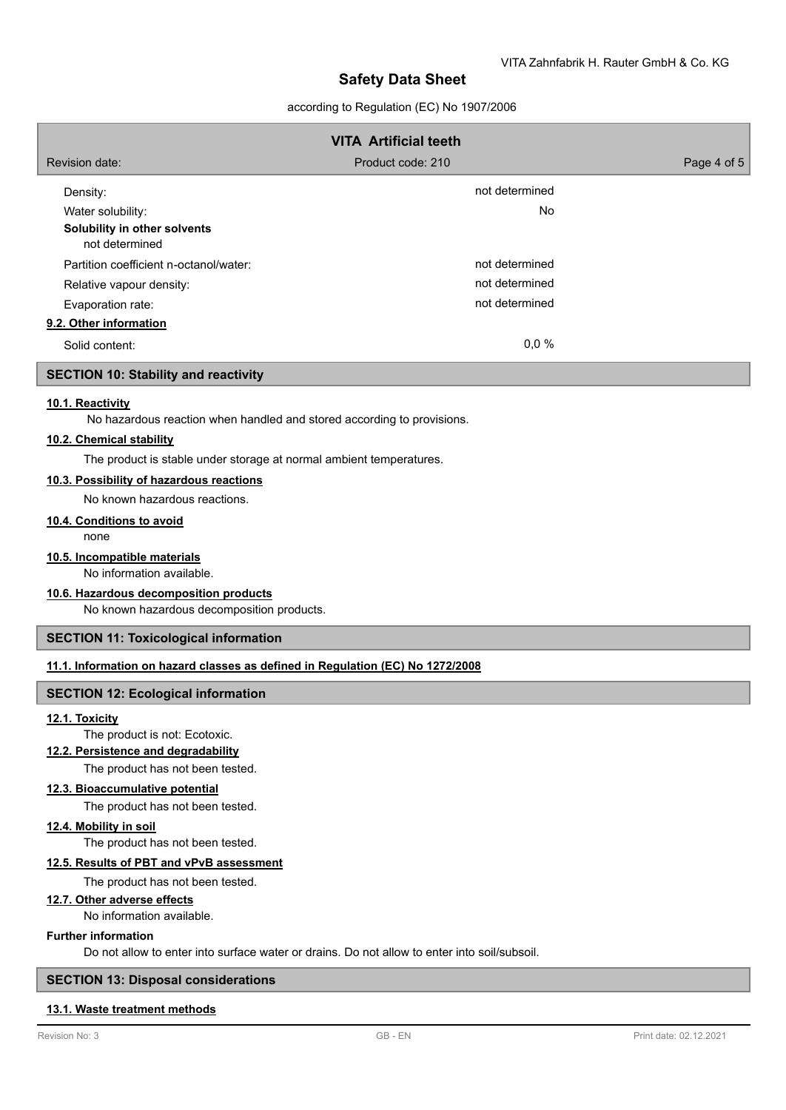# according to Regulation (EC) No 1907/2006

|                                                | <b>VITA Artificial teeth</b> |             |
|------------------------------------------------|------------------------------|-------------|
| Revision date:                                 | Product code: 210            | Page 4 of 5 |
| Density:                                       | not determined               |             |
| Water solubility:                              | <b>No</b>                    |             |
| Solubility in other solvents<br>not determined |                              |             |
| Partition coefficient n-octanol/water:         | not determined               |             |
| Relative vapour density:                       | not determined               |             |
| Evaporation rate:                              | not determined               |             |
| 9.2. Other information                         |                              |             |
| Solid content:                                 | 0,0%                         |             |

# **SECTION 10: Stability and reactivity**

# **10.1. Reactivity**

No hazardous reaction when handled and stored according to provisions.

### **10.2. Chemical stability**

The product is stable under storage at normal ambient temperatures.

## **10.3. Possibility of hazardous reactions**

No known hazardous reactions.

### **10.4. Conditions to avoid**

none

# **10.5. Incompatible materials**

No information available.

# **10.6. Hazardous decomposition products**

No known hazardous decomposition products.

# **SECTION 11: Toxicological information**

### **11.1. Information on hazard classes as defined in Regulation (EC) No 1272/2008**

### **SECTION 12: Ecological information**

### **12.1. Toxicity**

The product is not: Ecotoxic.

# **12.2. Persistence and degradability**

The product has not been tested.

#### **12.3. Bioaccumulative potential**

The product has not been tested.

#### **12.4. Mobility in soil**

The product has not been tested.

## **12.5. Results of PBT and vPvB assessment**

The product has not been tested.

### **12.7. Other adverse effects**

No information available.

## **Further information**

Do not allow to enter into surface water or drains. Do not allow to enter into soil/subsoil.

### **SECTION 13: Disposal considerations**

#### **13.1. Waste treatment methods**